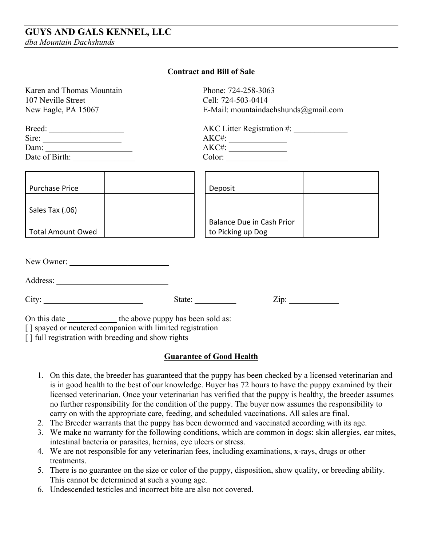| Karen and Thomas Mountain                                       |        | Phone: 724-258-3063                                                       |
|-----------------------------------------------------------------|--------|---------------------------------------------------------------------------|
| 107 Neville Street                                              |        | Cell: 724-503-0414                                                        |
| New Eagle, PA 15067                                             |        | E-Mail: mountaindachshunds@gmail.com                                      |
|                                                                 |        | $AKC$ Litter Registration #: $\_\_\_\_\_\_\_\_\_\_\_\_\_\_\_\_\_\_\_\_\_$ |
| Sire: $\frac{1}{\sqrt{1-\frac{1}{2}} \cdot \frac{1}{2}}$        |        |                                                                           |
| Dam: $\qquad \qquad$                                            |        |                                                                           |
|                                                                 |        | $Color: \_\_\_\_\_\_\_\_\_$                                               |
|                                                                 |        |                                                                           |
| <b>Purchase Price</b>                                           |        | Deposit                                                                   |
| Sales Tax (.06)                                                 |        |                                                                           |
|                                                                 |        | <b>Balance Due in Cash Prior</b>                                          |
| Total Amount Owed                                               |        | to Picking up Dog                                                         |
|                                                                 |        |                                                                           |
|                                                                 |        |                                                                           |
|                                                                 |        |                                                                           |
| City:                                                           | State: |                                                                           |
| On this date ________________ the above puppy has been sold as: |        |                                                                           |
| [] spayed or neutered companion with limited registration       |        |                                                                           |
| [] full registration with breeding and show rights              |        |                                                                           |

## **Contract and Bill of Sale**

## **Guarantee of Good Health**

- 1. On this date, the breeder has guaranteed that the puppy has been checked by a licensed veterinarian and is in good health to the best of our knowledge. Buyer has 72 hours to have the puppy examined by their licensed veterinarian. Once your veterinarian has verified that the puppy is healthy, the breeder assumes no further responsibility for the condition of the puppy. The buyer now assumes the responsibility to carry on with the appropriate care, feeding, and scheduled vaccinations. All sales are final.
- 2. The Breeder warrants that the puppy has been dewormed and vaccinated according with its age.
- 3. We make no warranty for the following conditions, which are common in dogs: skin allergies, ear mites, intestinal bacteria or parasites, hernias, eye ulcers or stress.
- 4. We are not responsible for any veterinarian fees, including examinations, x-rays, drugs or other treatments.
- 5. There is no guarantee on the size or color of the puppy, disposition, show quality, or breeding ability. This cannot be determined at such a young age.
- 6. Undescended testicles and incorrect bite are also not covered.